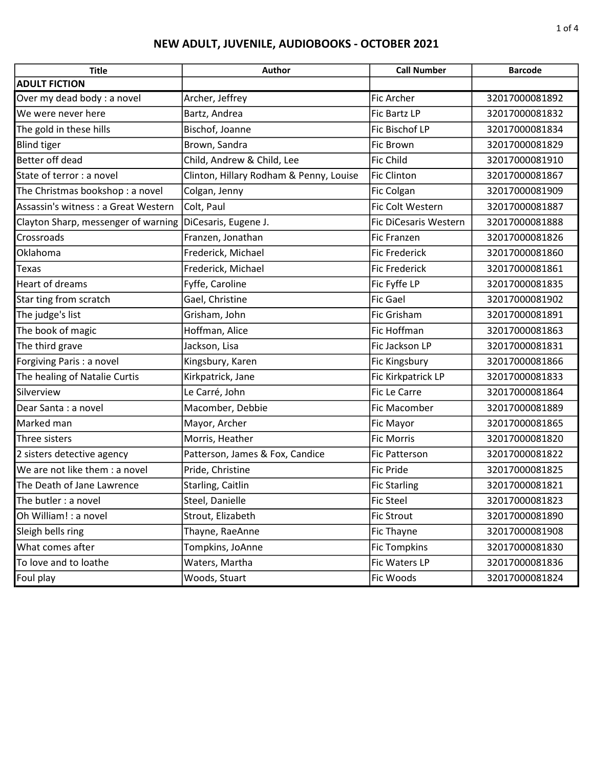| <b>Title</b>                         | Author                                  | <b>Call Number</b>           | <b>Barcode</b> |
|--------------------------------------|-----------------------------------------|------------------------------|----------------|
| <b>ADULT FICTION</b>                 |                                         |                              |                |
| Over my dead body : a novel          | Archer, Jeffrey                         | <b>Fic Archer</b>            | 32017000081892 |
| We were never here                   | Bartz, Andrea                           | Fic Bartz LP                 | 32017000081832 |
| The gold in these hills              | Bischof, Joanne                         | Fic Bischof LP               | 32017000081834 |
| <b>Blind tiger</b>                   | Brown, Sandra                           | Fic Brown                    | 32017000081829 |
| Better off dead                      | Child, Andrew & Child, Lee              | <b>Fic Child</b>             | 32017000081910 |
| State of terror : a novel            | Clinton, Hillary Rodham & Penny, Louise | <b>Fic Clinton</b>           | 32017000081867 |
| The Christmas bookshop: a novel      | Colgan, Jenny                           | Fic Colgan                   | 32017000081909 |
| Assassin's witness : a Great Western | Colt, Paul                              | Fic Colt Western             | 32017000081887 |
| Clayton Sharp, messenger of warning  | DiCesaris, Eugene J.                    | <b>Fic DiCesaris Western</b> | 32017000081888 |
| Crossroads                           | Franzen, Jonathan                       | <b>Fic Franzen</b>           | 32017000081826 |
| Oklahoma                             | Frederick, Michael                      | <b>Fic Frederick</b>         | 32017000081860 |
| Texas                                | Frederick, Michael                      | <b>Fic Frederick</b>         | 32017000081861 |
| Heart of dreams                      | Fyffe, Caroline                         | Fic Fyffe LP                 | 32017000081835 |
| Star ting from scratch               | Gael, Christine                         | <b>Fic Gael</b>              | 32017000081902 |
| The judge's list                     | Grisham, John                           | <b>Fic Grisham</b>           | 32017000081891 |
| The book of magic                    | Hoffman, Alice                          | Fic Hoffman                  | 32017000081863 |
| The third grave                      | Jackson, Lisa                           | Fic Jackson LP               | 32017000081831 |
| Forgiving Paris : a novel            | Kingsbury, Karen                        | Fic Kingsbury                | 32017000081866 |
| The healing of Natalie Curtis        | Kirkpatrick, Jane                       | Fic Kirkpatrick LP           | 32017000081833 |
| Silverview                           | Le Carré, John                          | Fic Le Carre                 | 32017000081864 |
| Dear Santa : a novel                 | Macomber, Debbie                        | Fic Macomber                 | 32017000081889 |
| Marked man                           | Mayor, Archer                           | Fic Mayor                    | 32017000081865 |
| Three sisters                        | Morris, Heather                         | <b>Fic Morris</b>            | 32017000081820 |
| 2 sisters detective agency           | Patterson, James & Fox, Candice         | <b>Fic Patterson</b>         | 32017000081822 |
| We are not like them : a novel       | Pride, Christine                        | <b>Fic Pride</b>             | 32017000081825 |
| The Death of Jane Lawrence           | Starling, Caitlin                       | <b>Fic Starling</b>          | 32017000081821 |
| The butler : a novel                 | Steel, Danielle                         | Fic Steel                    | 32017000081823 |
| Oh William! : a novel                | Strout, Elizabeth                       | <b>Fic Strout</b>            | 32017000081890 |
| Sleigh bells ring                    | Thayne, RaeAnne                         | Fic Thayne                   | 32017000081908 |
| What comes after                     | Tompkins, JoAnne                        | <b>Fic Tompkins</b>          | 32017000081830 |
| To love and to loathe                | Waters, Martha                          | Fic Waters LP                | 32017000081836 |
| Foul play                            | Woods, Stuart                           | Fic Woods                    | 32017000081824 |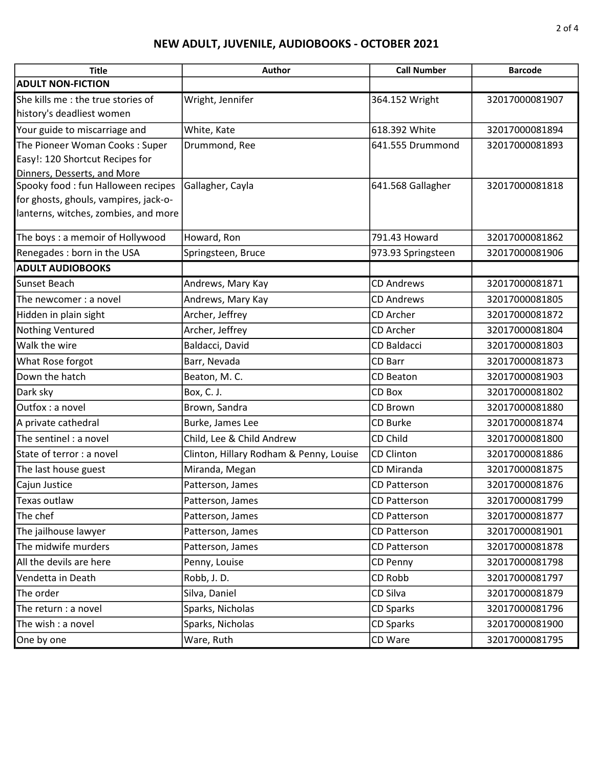| <b>Title</b>                                                                  | <b>Author</b>                           | <b>Call Number</b>  | <b>Barcode</b> |
|-------------------------------------------------------------------------------|-----------------------------------------|---------------------|----------------|
| <b>ADULT NON-FICTION</b>                                                      |                                         |                     |                |
| She kills me : the true stories of<br>history's deadliest women               | Wright, Jennifer                        | 364.152 Wright      | 32017000081907 |
| Your guide to miscarriage and                                                 | White, Kate                             | 618.392 White       | 32017000081894 |
| The Pioneer Woman Cooks: Super                                                | Drummond, Ree                           | 641.555 Drummond    | 32017000081893 |
| Easy!: 120 Shortcut Recipes for                                               |                                         |                     |                |
| Dinners, Desserts, and More                                                   |                                         |                     |                |
| Spooky food : fun Halloween recipes                                           | Gallagher, Cayla                        | 641.568 Gallagher   | 32017000081818 |
| for ghosts, ghouls, vampires, jack-o-<br>lanterns, witches, zombies, and more |                                         |                     |                |
|                                                                               |                                         |                     |                |
| The boys: a memoir of Hollywood                                               | Howard, Ron                             | 791.43 Howard       | 32017000081862 |
| Renegades : born in the USA                                                   | Springsteen, Bruce                      | 973.93 Springsteen  | 32017000081906 |
| <b>ADULT AUDIOBOOKS</b>                                                       |                                         |                     |                |
| Sunset Beach                                                                  | Andrews, Mary Kay                       | <b>CD Andrews</b>   | 32017000081871 |
| The newcomer: a novel                                                         | Andrews, Mary Kay                       | <b>CD Andrews</b>   | 32017000081805 |
| Hidden in plain sight                                                         | Archer, Jeffrey                         | CD Archer           | 32017000081872 |
| Nothing Ventured                                                              | Archer, Jeffrey                         | CD Archer           | 32017000081804 |
| Walk the wire                                                                 | Baldacci, David                         | CD Baldacci         | 32017000081803 |
| What Rose forgot                                                              | Barr, Nevada                            | CD Barr             | 32017000081873 |
| Down the hatch                                                                | Beaton, M.C.                            | CD Beaton           | 32017000081903 |
| Dark sky                                                                      | Box, C. J.                              | CD Box              | 32017000081802 |
| Outfox: a novel                                                               | Brown, Sandra                           | CD Brown            | 32017000081880 |
| A private cathedral                                                           | Burke, James Lee                        | CD Burke            | 32017000081874 |
| The sentinel : a novel                                                        | Child, Lee & Child Andrew               | CD Child            | 32017000081800 |
| State of terror : a novel                                                     | Clinton, Hillary Rodham & Penny, Louise | <b>CD Clinton</b>   | 32017000081886 |
| The last house guest                                                          | Miranda, Megan                          | CD Miranda          | 32017000081875 |
| Cajun Justice                                                                 | Patterson, James                        | <b>CD Patterson</b> | 32017000081876 |
| Texas outlaw                                                                  | Patterson, James                        | CD Patterson        | 32017000081799 |
| The chef                                                                      | Patterson, James                        | CD Patterson        | 32017000081877 |
| The jailhouse lawyer                                                          | Patterson, James                        | CD Patterson        | 32017000081901 |
| The midwife murders                                                           | Patterson, James                        | CD Patterson        | 32017000081878 |
| All the devils are here                                                       | Penny, Louise                           | CD Penny            | 32017000081798 |
| Vendetta in Death                                                             | Robb, J.D.                              | CD Robb             | 32017000081797 |
| The order                                                                     | Silva, Daniel                           | CD Silva            | 32017000081879 |
| The return : a novel                                                          | Sparks, Nicholas                        | <b>CD Sparks</b>    | 32017000081796 |
| The wish : a novel                                                            | Sparks, Nicholas                        | <b>CD Sparks</b>    | 32017000081900 |
| One by one                                                                    | Ware, Ruth                              | CD Ware             | 32017000081795 |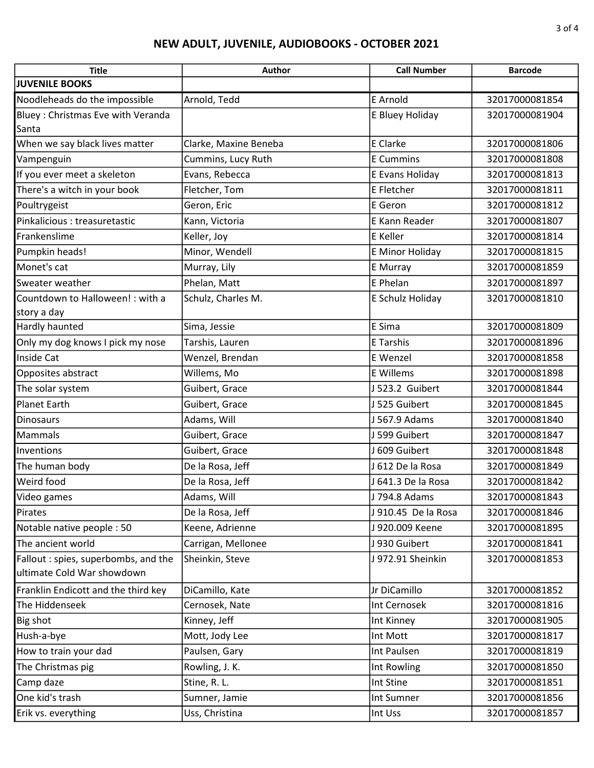| <b>Title</b>                        | Author                | <b>Call Number</b>  | <b>Barcode</b> |
|-------------------------------------|-----------------------|---------------------|----------------|
| <b>JUVENILE BOOKS</b>               |                       |                     |                |
| Noodleheads do the impossible       | Arnold, Tedd          | E Arnold            | 32017000081854 |
| Bluey: Christmas Eve with Veranda   |                       | E Bluey Holiday     | 32017000081904 |
| Santa                               |                       |                     |                |
| When we say black lives matter      | Clarke, Maxine Beneba | E Clarke            | 32017000081806 |
| Vampenguin                          | Cummins, Lucy Ruth    | <b>E</b> Cummins    | 32017000081808 |
| If you ever meet a skeleton         | Evans, Rebecca        | E Evans Holiday     | 32017000081813 |
| There's a witch in your book        | Fletcher, Tom         | E Fletcher          | 32017000081811 |
| Poultrygeist                        | Geron, Eric           | E Geron             | 32017000081812 |
| Pinkalicious : treasuretastic       | Kann, Victoria        | E Kann Reader       | 32017000081807 |
| Frankenslime                        | Keller, Joy           | <b>E</b> Keller     | 32017000081814 |
| Pumpkin heads!                      | Minor, Wendell        | E Minor Holiday     | 32017000081815 |
| Monet's cat                         | Murray, Lily          | <b>E</b> Murray     | 32017000081859 |
| Sweater weather                     | Phelan, Matt          | E Phelan            | 32017000081897 |
| Countdown to Halloween! : with a    | Schulz, Charles M.    | E Schulz Holiday    | 32017000081810 |
| story a day                         |                       |                     |                |
| Hardly haunted                      | Sima, Jessie          | E Sima              | 32017000081809 |
| Only my dog knows I pick my nose    | Tarshis, Lauren       | E Tarshis           | 32017000081896 |
| Inside Cat                          | Wenzel, Brendan       | E Wenzel            | 32017000081858 |
| Opposites abstract                  | Willems, Mo           | <b>E</b> Willems    | 32017000081898 |
| The solar system                    | Guibert, Grace        | J 523.2 Guibert     | 32017000081844 |
| <b>Planet Earth</b>                 | Guibert, Grace        | J 525 Guibert       | 32017000081845 |
| <b>Dinosaurs</b>                    | Adams, Will           | J 567.9 Adams       | 32017000081840 |
| Mammals                             | Guibert, Grace        | J 599 Guibert       | 32017000081847 |
| Inventions                          | Guibert, Grace        | J 609 Guibert       | 32017000081848 |
| The human body                      | De la Rosa, Jeff      | J 612 De la Rosa    | 32017000081849 |
| Weird food                          | De la Rosa, Jeff      | J 641.3 De la Rosa  | 32017000081842 |
| Video games                         | Adams, Will           | J 794.8 Adams       | 32017000081843 |
| Pirates                             | De la Rosa, Jeff      | J 910.45 De la Rosa | 32017000081846 |
| Notable native people: 50           | Keene, Adrienne       | J 920.009 Keene     | 32017000081895 |
| The ancient world                   | Carrigan, Mellonee    | J 930 Guibert       | 32017000081841 |
| Fallout: spies, superbombs, and the | Sheinkin, Steve       | J 972.91 Sheinkin   | 32017000081853 |
| ultimate Cold War showdown          |                       |                     |                |
| Franklin Endicott and the third key | DiCamillo, Kate       | Jr DiCamillo        | 32017000081852 |
| The Hiddenseek                      | Cernosek, Nate        | Int Cernosek        | 32017000081816 |
| Big shot                            | Kinney, Jeff          | Int Kinney          | 32017000081905 |
| Hush-a-bye                          | Mott, Jody Lee        | Int Mott            | 32017000081817 |
| How to train your dad               | Paulsen, Gary         | Int Paulsen         | 32017000081819 |
| The Christmas pig                   | Rowling, J. K.        | Int Rowling         | 32017000081850 |
| Camp daze                           | Stine, R. L.          | Int Stine           | 32017000081851 |
| One kid's trash                     | Sumner, Jamie         | Int Sumner          | 32017000081856 |
| Erik vs. everything                 | Uss, Christina        | Int Uss             | 32017000081857 |